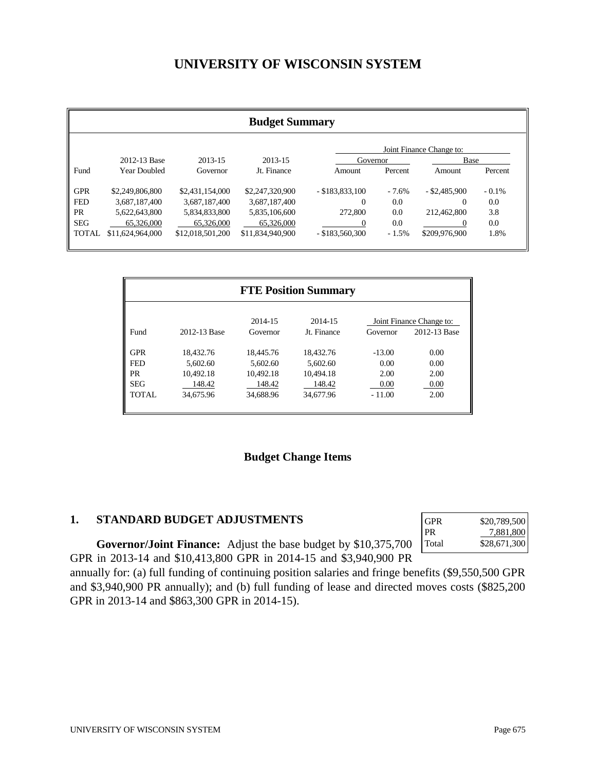# **UNIVERSITY OF WISCONSIN SYSTEM**

| <b>Budget Summary</b>    |                     |                  |                  |                   |          |                 |          |  |
|--------------------------|---------------------|------------------|------------------|-------------------|----------|-----------------|----------|--|
| Joint Finance Change to: |                     |                  |                  |                   |          |                 |          |  |
|                          | 2012-13 Base        | 2013-15          | 2013-15          | Governor          |          | Base            |          |  |
| Fund                     | <b>Year Doubled</b> | Governor         | Jt. Finance      | Amount            | Percent  | Amount          | Percent  |  |
| <b>GPR</b>               | \$2,249,806,800     | \$2,431,154,000  | \$2,247,320,900  | $-$ \$183,833,100 | $-7.6\%$ | $-$ \$2,485,900 | $-0.1\%$ |  |
| <b>FED</b>               | 3.687.187.400       | 3,687,187,400    | 3,687,187,400    | 0                 | 0.0      | $\Omega$        | 0.0      |  |
| <b>PR</b>                | 5.622.643.800       | 5,834,833,800    | 5,835,106,600    | 272,800           | 0.0      | 212,462,800     | 3.8      |  |
| <b>SEG</b>               | 65,326,000          | 65,326,000       | 65,326,000       |                   | 0.0      |                 | 0.0      |  |
| <b>TOTAL</b>             | \$11,624,964,000    | \$12,018,501,200 | \$11,834,940,900 | $-$ \$183,560,300 | $-1.5%$  | \$209,976,900   | 1.8%     |  |

|              |              |                     | <b>FTE Position Summary</b> |          |                                          |
|--------------|--------------|---------------------|-----------------------------|----------|------------------------------------------|
| Fund         | 2012-13 Base | 2014-15<br>Governor | 2014-15<br>Jt. Finance      | Governor | Joint Finance Change to:<br>2012-13 Base |
| <b>GPR</b>   | 18.432.76    | 18,445.76           | 18.432.76                   | $-13.00$ | 0.00                                     |
| <b>FED</b>   | 5.602.60     | 5.602.60            | 5.602.60                    | 0.00     | 0.00                                     |
| <b>PR</b>    | 10.492.18    | 10.492.18           | 10.494.18                   | 2.00     | 2.00                                     |
| <b>SEG</b>   | 148.42       | 148.42              | 148.42                      | 0.00     | 0.00                                     |
| <b>TOTAL</b> | 34,675.96    | 34,688.96           | 34,677.96                   | $-11.00$ | 2.00                                     |
|              |              |                     |                             |          |                                          |

## **Budget Change Items**

#### **1. STANDARD BUDGET ADJUSTMENTS**

| \$20,789,500 |
|--------------|
| 7,881,800    |
| \$28,671,300 |
|              |

**Governor/Joint Finance:** Adjust the base budget by \$10,375,700 GPR in 2013-14 and \$10,413,800 GPR in 2014-15 and \$3,940,900 PR

annually for: (a) full funding of continuing position salaries and fringe benefits (\$9,550,500 GPR and \$3,940,900 PR annually); and (b) full funding of lease and directed moves costs (\$825,200 GPR in 2013-14 and \$863,300 GPR in 2014-15).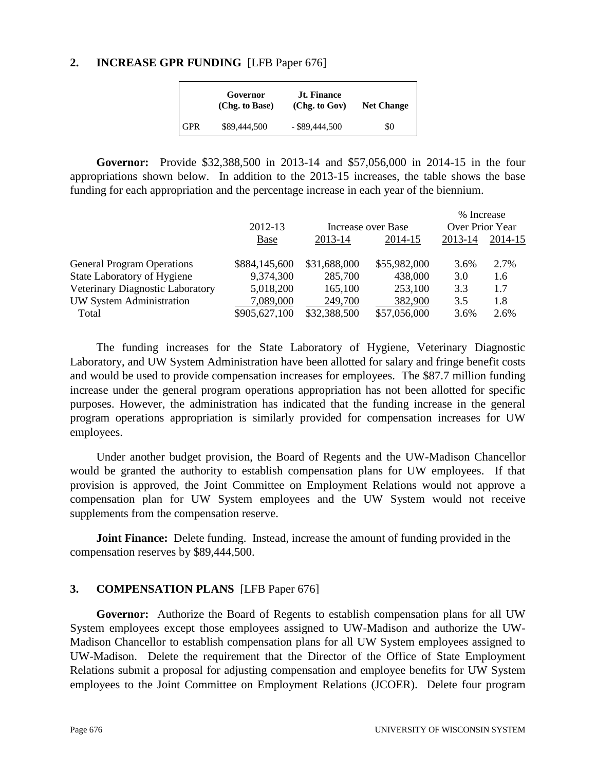#### **2. INCREASE GPR FUNDING** [LFB Paper 676]

|                         | Governor<br>(Chg. to Base) | <b>Jt. Finance</b><br>(Chg. to Gov) | <b>Net Change</b> |
|-------------------------|----------------------------|-------------------------------------|-------------------|
| $\overline{\text{GPR}}$ | \$89,444,500               | $-$ \$89,444,500                    | \$0               |

**Governor:** Provide \$32,388,500 in 2013-14 and \$57,056,000 in 2014-15 in the four appropriations shown below. In addition to the 2013-15 increases, the table shows the base funding for each appropriation and the percentage increase in each year of the biennium.

|                                   |               |                    |              | % Increase      |         |
|-----------------------------------|---------------|--------------------|--------------|-----------------|---------|
|                                   | 2012-13       | Increase over Base |              | Over Prior Year |         |
|                                   | <b>Base</b>   | 2013-14            | 2014-15      | 2013-14         | 2014-15 |
| <b>General Program Operations</b> | \$884,145,600 | \$31,688,000       | \$55,982,000 | 3.6%            | 2.7%    |
| State Laboratory of Hygiene       | 9,374,300     | 285,700            | 438,000      | 3.0             | 1.6     |
| Veterinary Diagnostic Laboratory  | 5,018,200     | 165,100            | 253,100      | 3.3             | 1.7     |
| UW System Administration          | 7,089,000     | 249,700            | 382,900      | 3.5             | 1.8     |
| Total                             | \$905,627,100 | \$32,388,500       | \$57,056,000 | 3.6%            | 2.6%    |

 The funding increases for the State Laboratory of Hygiene, Veterinary Diagnostic Laboratory, and UW System Administration have been allotted for salary and fringe benefit costs and would be used to provide compensation increases for employees. The \$87.7 million funding increase under the general program operations appropriation has not been allotted for specific purposes. However, the administration has indicated that the funding increase in the general program operations appropriation is similarly provided for compensation increases for UW employees.

 Under another budget provision, the Board of Regents and the UW-Madison Chancellor would be granted the authority to establish compensation plans for UW employees. If that provision is approved, the Joint Committee on Employment Relations would not approve a compensation plan for UW System employees and the UW System would not receive supplements from the compensation reserve.

**Joint Finance:** Delete funding. Instead, increase the amount of funding provided in the compensation reserves by \$89,444,500.

## **3. COMPENSATION PLANS** [LFB Paper 676]

**Governor:** Authorize the Board of Regents to establish compensation plans for all UW System employees except those employees assigned to UW-Madison and authorize the UW-Madison Chancellor to establish compensation plans for all UW System employees assigned to UW-Madison. Delete the requirement that the Director of the Office of State Employment Relations submit a proposal for adjusting compensation and employee benefits for UW System employees to the Joint Committee on Employment Relations (JCOER). Delete four program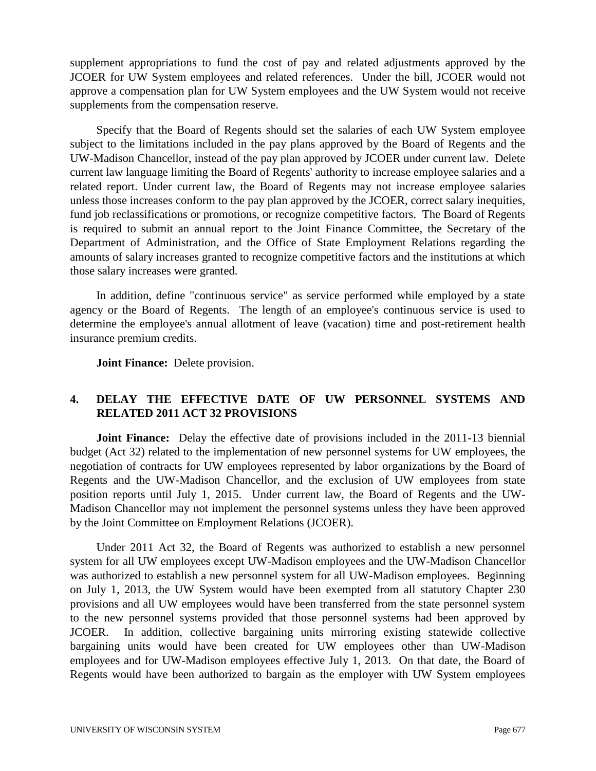supplement appropriations to fund the cost of pay and related adjustments approved by the JCOER for UW System employees and related references. Under the bill, JCOER would not approve a compensation plan for UW System employees and the UW System would not receive supplements from the compensation reserve.

 Specify that the Board of Regents should set the salaries of each UW System employee subject to the limitations included in the pay plans approved by the Board of Regents and the UW-Madison Chancellor, instead of the pay plan approved by JCOER under current law. Delete current law language limiting the Board of Regents' authority to increase employee salaries and a related report. Under current law, the Board of Regents may not increase employee salaries unless those increases conform to the pay plan approved by the JCOER, correct salary inequities, fund job reclassifications or promotions, or recognize competitive factors. The Board of Regents is required to submit an annual report to the Joint Finance Committee, the Secretary of the Department of Administration, and the Office of State Employment Relations regarding the amounts of salary increases granted to recognize competitive factors and the institutions at which those salary increases were granted.

 In addition, define "continuous service" as service performed while employed by a state agency or the Board of Regents. The length of an employee's continuous service is used to determine the employee's annual allotment of leave (vacation) time and post-retirement health insurance premium credits.

**Joint Finance:** Delete provision.

## **4. DELAY THE EFFECTIVE DATE OF UW PERSONNEL SYSTEMS AND RELATED 2011 ACT 32 PROVISIONS**

**Joint Finance:** Delay the effective date of provisions included in the 2011-13 biennial budget (Act 32) related to the implementation of new personnel systems for UW employees, the negotiation of contracts for UW employees represented by labor organizations by the Board of Regents and the UW-Madison Chancellor, and the exclusion of UW employees from state position reports until July 1, 2015. Under current law, the Board of Regents and the UW-Madison Chancellor may not implement the personnel systems unless they have been approved by the Joint Committee on Employment Relations (JCOER).

 Under 2011 Act 32, the Board of Regents was authorized to establish a new personnel system for all UW employees except UW-Madison employees and the UW-Madison Chancellor was authorized to establish a new personnel system for all UW-Madison employees. Beginning on July 1, 2013, the UW System would have been exempted from all statutory Chapter 230 provisions and all UW employees would have been transferred from the state personnel system to the new personnel systems provided that those personnel systems had been approved by JCOER. In addition, collective bargaining units mirroring existing statewide collective bargaining units would have been created for UW employees other than UW-Madison employees and for UW-Madison employees effective July 1, 2013. On that date, the Board of Regents would have been authorized to bargain as the employer with UW System employees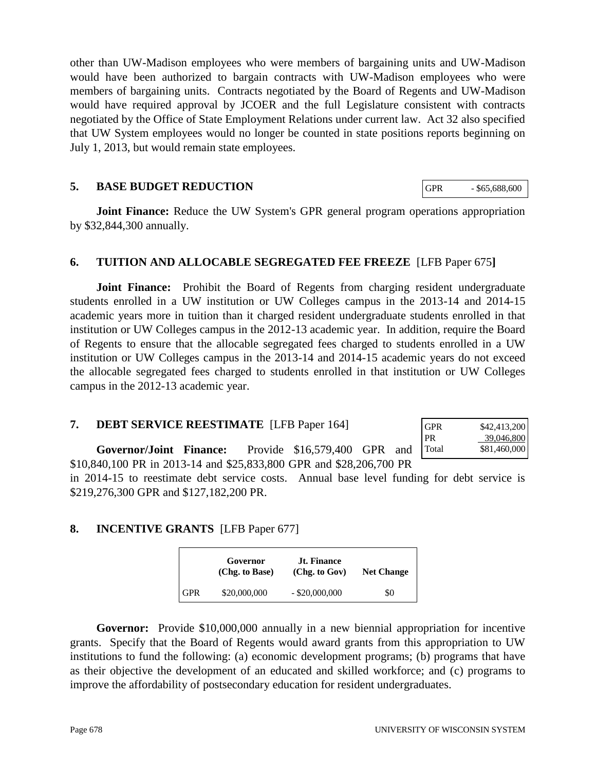other than UW-Madison employees who were members of bargaining units and UW-Madison would have been authorized to bargain contracts with UW-Madison employees who were members of bargaining units. Contracts negotiated by the Board of Regents and UW-Madison would have required approval by JCOER and the full Legislature consistent with contracts negotiated by the Office of State Employment Relations under current law. Act 32 also specified that UW System employees would no longer be counted in state positions reports beginning on July 1, 2013, but would remain state employees.

#### **5. BASE BUDGET REDUCTION**

**Joint Finance:** Reduce the UW System's GPR general program operations appropriation by \$32,844,300 annually.

## **6. TUITION AND ALLOCABLE SEGREGATED FEE FREEZE** [LFB Paper 675**]**

**Joint Finance:** Prohibit the Board of Regents from charging resident undergraduate students enrolled in a UW institution or UW Colleges campus in the 2013-14 and 2014-15 academic years more in tuition than it charged resident undergraduate students enrolled in that institution or UW Colleges campus in the 2012-13 academic year. In addition, require the Board of Regents to ensure that the allocable segregated fees charged to students enrolled in a UW institution or UW Colleges campus in the 2013-14 and 2014-15 academic years do not exceed the allocable segregated fees charged to students enrolled in that institution or UW Colleges campus in the 2012-13 academic year.

#### **7. DEBT SERVICE REESTIMATE** [LFB Paper 164]

| <b>GPR</b> | \$42,413,200 |
|------------|--------------|
| PR         | 39,046,800   |
| Total      | \$81,460,000 |

**Governor/Joint Finance:** Provide \$16,579,400 GPR and \$10,840,100 PR in 2013-14 and \$25,833,800 GPR and \$28,206,700 PR

in 2014-15 to reestimate debt service costs. Annual base level funding for debt service is \$219,276,300 GPR and \$127,182,200 PR.

## **8. INCENTIVE GRANTS** [LFB Paper 677]

|            | Governor<br>(Chg. to Base) | <b>Jt. Finance</b><br>(Chg. to Gov) | <b>Net Change</b> |
|------------|----------------------------|-------------------------------------|-------------------|
| <b>GPR</b> | \$20,000,000               | $-$ \$20,000,000                    | \$0               |

**Governor:** Provide \$10,000,000 annually in a new biennial appropriation for incentive grants. Specify that the Board of Regents would award grants from this appropriation to UW institutions to fund the following: (a) economic development programs; (b) programs that have as their objective the development of an educated and skilled workforce; and (c) programs to improve the affordability of postsecondary education for resident undergraduates.

GPR - \$65,688,600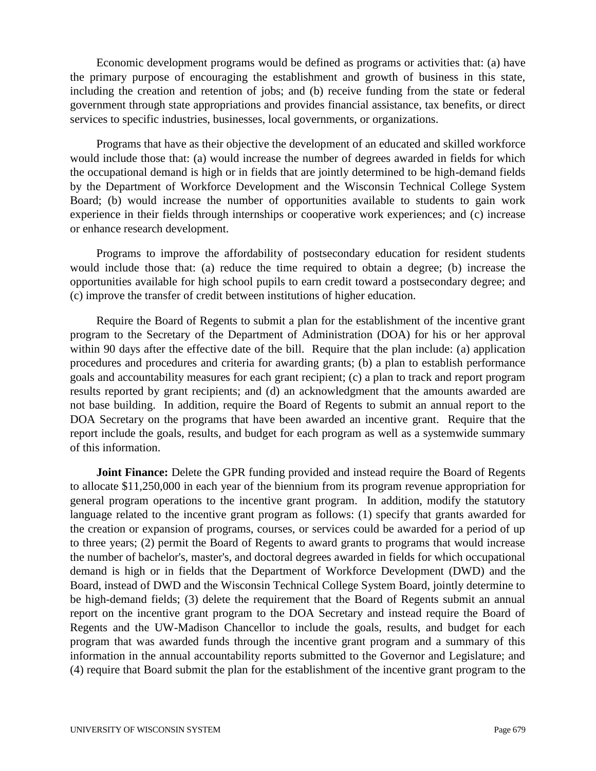Economic development programs would be defined as programs or activities that: (a) have the primary purpose of encouraging the establishment and growth of business in this state, including the creation and retention of jobs; and (b) receive funding from the state or federal government through state appropriations and provides financial assistance, tax benefits, or direct services to specific industries, businesses, local governments, or organizations.

 Programs that have as their objective the development of an educated and skilled workforce would include those that: (a) would increase the number of degrees awarded in fields for which the occupational demand is high or in fields that are jointly determined to be high-demand fields by the Department of Workforce Development and the Wisconsin Technical College System Board; (b) would increase the number of opportunities available to students to gain work experience in their fields through internships or cooperative work experiences; and (c) increase or enhance research development.

 Programs to improve the affordability of postsecondary education for resident students would include those that: (a) reduce the time required to obtain a degree; (b) increase the opportunities available for high school pupils to earn credit toward a postsecondary degree; and (c) improve the transfer of credit between institutions of higher education.

 Require the Board of Regents to submit a plan for the establishment of the incentive grant program to the Secretary of the Department of Administration (DOA) for his or her approval within 90 days after the effective date of the bill. Require that the plan include: (a) application procedures and procedures and criteria for awarding grants; (b) a plan to establish performance goals and accountability measures for each grant recipient; (c) a plan to track and report program results reported by grant recipients; and (d) an acknowledgment that the amounts awarded are not base building. In addition, require the Board of Regents to submit an annual report to the DOA Secretary on the programs that have been awarded an incentive grant. Require that the report include the goals, results, and budget for each program as well as a systemwide summary of this information.

**Joint Finance:** Delete the GPR funding provided and instead require the Board of Regents to allocate \$11,250,000 in each year of the biennium from its program revenue appropriation for general program operations to the incentive grant program. In addition, modify the statutory language related to the incentive grant program as follows: (1) specify that grants awarded for the creation or expansion of programs, courses, or services could be awarded for a period of up to three years; (2) permit the Board of Regents to award grants to programs that would increase the number of bachelor's, master's, and doctoral degrees awarded in fields for which occupational demand is high or in fields that the Department of Workforce Development (DWD) and the Board, instead of DWD and the Wisconsin Technical College System Board, jointly determine to be high-demand fields; (3) delete the requirement that the Board of Regents submit an annual report on the incentive grant program to the DOA Secretary and instead require the Board of Regents and the UW-Madison Chancellor to include the goals, results, and budget for each program that was awarded funds through the incentive grant program and a summary of this information in the annual accountability reports submitted to the Governor and Legislature; and (4) require that Board submit the plan for the establishment of the incentive grant program to the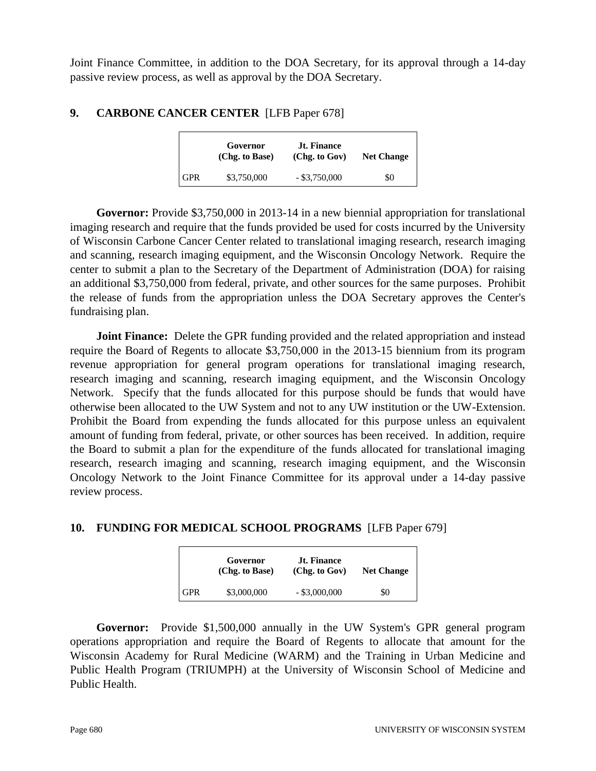Joint Finance Committee, in addition to the DOA Secretary, for its approval through a 14-day passive review process, as well as approval by the DOA Secretary.

## **9. CARBONE CANCER CENTER** [LFB Paper 678]

|            | Governor<br>(Chg. to Base) | <b>Jt. Finance</b><br>(Chg. to Gov) | <b>Net Change</b> |
|------------|----------------------------|-------------------------------------|-------------------|
| <b>GPR</b> | \$3,750,000                | $-$ \$3,750,000                     | \$0               |

**Governor:** Provide \$3,750,000 in 2013-14 in a new biennial appropriation for translational imaging research and require that the funds provided be used for costs incurred by the University of Wisconsin Carbone Cancer Center related to translational imaging research, research imaging and scanning, research imaging equipment, and the Wisconsin Oncology Network. Require the center to submit a plan to the Secretary of the Department of Administration (DOA) for raising an additional \$3,750,000 from federal, private, and other sources for the same purposes. Prohibit the release of funds from the appropriation unless the DOA Secretary approves the Center's fundraising plan.

**Joint Finance:** Delete the GPR funding provided and the related appropriation and instead require the Board of Regents to allocate \$3,750,000 in the 2013-15 biennium from its program revenue appropriation for general program operations for translational imaging research, research imaging and scanning, research imaging equipment, and the Wisconsin Oncology Network. Specify that the funds allocated for this purpose should be funds that would have otherwise been allocated to the UW System and not to any UW institution or the UW-Extension. Prohibit the Board from expending the funds allocated for this purpose unless an equivalent amount of funding from federal, private, or other sources has been received. In addition, require the Board to submit a plan for the expenditure of the funds allocated for translational imaging research, research imaging and scanning, research imaging equipment, and the Wisconsin Oncology Network to the Joint Finance Committee for its approval under a 14-day passive review process.

## **10. FUNDING FOR MEDICAL SCHOOL PROGRAMS** [LFB Paper 679]

|            | Governor<br>(Chg. to Base) | <b>Jt. Finance</b><br>(Chg. to Gov) | <b>Net Change</b> |
|------------|----------------------------|-------------------------------------|-------------------|
| <b>GPR</b> | \$3,000,000                | $-$ \$3,000,000                     | \$0               |

**Governor:** Provide \$1,500,000 annually in the UW System's GPR general program operations appropriation and require the Board of Regents to allocate that amount for the Wisconsin Academy for Rural Medicine (WARM) and the Training in Urban Medicine and Public Health Program (TRIUMPH) at the University of Wisconsin School of Medicine and Public Health.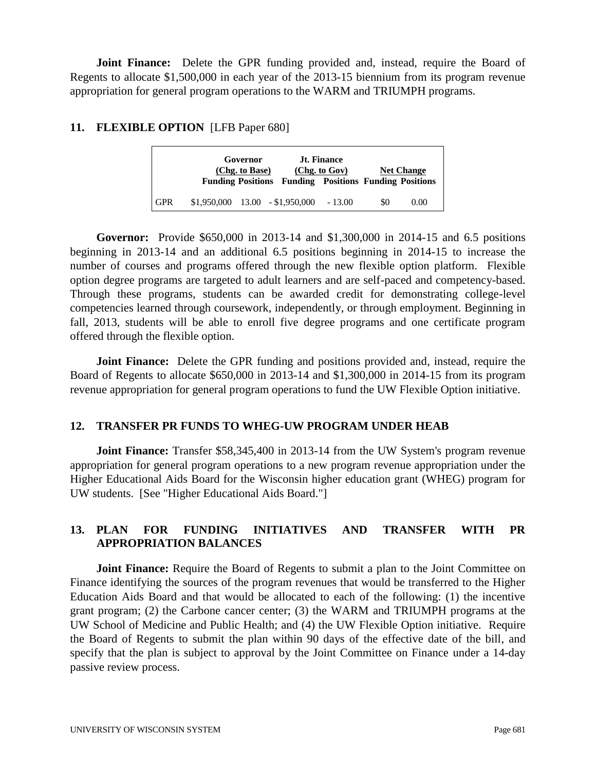**Joint Finance:** Delete the GPR funding provided and, instead, require the Board of Regents to allocate \$1,500,000 in each year of the 2013-15 biennium from its program revenue appropriation for general program operations to the WARM and TRIUMPH programs.

## **11. FLEXIBLE OPTION** [LFB Paper 680]

|            | Governor<br>(Chg. to Base)        | <b>Funding Positions Funding Positions Funding Positions</b> | <b>Jt. Finance</b><br>(Chg. to Gov) |     | <b>Net Change</b> |
|------------|-----------------------------------|--------------------------------------------------------------|-------------------------------------|-----|-------------------|
| <b>GPR</b> | $$1,950,000$ $13.00$ $$1,950,000$ |                                                              | $-13.00$                            | \$0 | 0.00              |

**Governor:** Provide \$650,000 in 2013-14 and \$1,300,000 in 2014-15 and 6.5 positions beginning in 2013-14 and an additional 6.5 positions beginning in 2014-15 to increase the number of courses and programs offered through the new flexible option platform. Flexible option degree programs are targeted to adult learners and are self-paced and competency-based. Through these programs, students can be awarded credit for demonstrating college-level competencies learned through coursework, independently, or through employment. Beginning in fall, 2013, students will be able to enroll five degree programs and one certificate program offered through the flexible option.

**Joint Finance:** Delete the GPR funding and positions provided and, instead, require the Board of Regents to allocate \$650,000 in 2013-14 and \$1,300,000 in 2014-15 from its program revenue appropriation for general program operations to fund the UW Flexible Option initiative.

#### **12. TRANSFER PR FUNDS TO WHEG-UW PROGRAM UNDER HEAB**

**Joint Finance:** Transfer \$58,345,400 in 2013-14 from the UW System's program revenue appropriation for general program operations to a new program revenue appropriation under the Higher Educational Aids Board for the Wisconsin higher education grant (WHEG) program for UW students. [See "Higher Educational Aids Board."]

## **13. PLAN FOR FUNDING INITIATIVES AND TRANSFER WITH PR APPROPRIATION BALANCES**

**Joint Finance:** Require the Board of Regents to submit a plan to the Joint Committee on Finance identifying the sources of the program revenues that would be transferred to the Higher Education Aids Board and that would be allocated to each of the following: (1) the incentive grant program; (2) the Carbone cancer center; (3) the WARM and TRIUMPH programs at the UW School of Medicine and Public Health; and (4) the UW Flexible Option initiative. Require the Board of Regents to submit the plan within 90 days of the effective date of the bill, and specify that the plan is subject to approval by the Joint Committee on Finance under a 14-day passive review process.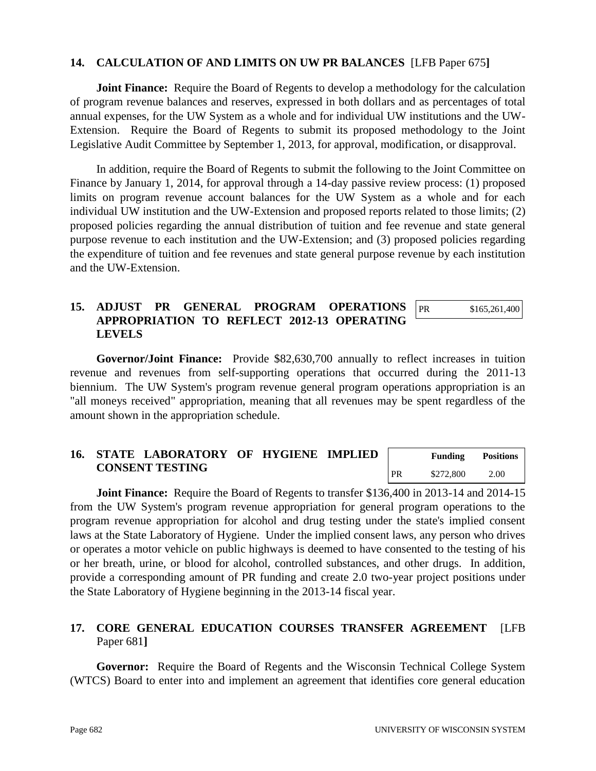#### **14. CALCULATION OF AND LIMITS ON UW PR BALANCES** [LFB Paper 675**]**

**Joint Finance:** Require the Board of Regents to develop a methodology for the calculation of program revenue balances and reserves, expressed in both dollars and as percentages of total annual expenses, for the UW System as a whole and for individual UW institutions and the UW-Extension. Require the Board of Regents to submit its proposed methodology to the Joint Legislative Audit Committee by September 1, 2013, for approval, modification, or disapproval.

 In addition, require the Board of Regents to submit the following to the Joint Committee on Finance by January 1, 2014, for approval through a 14-day passive review process: (1) proposed limits on program revenue account balances for the UW System as a whole and for each individual UW institution and the UW-Extension and proposed reports related to those limits; (2) proposed policies regarding the annual distribution of tuition and fee revenue and state general purpose revenue to each institution and the UW-Extension; and (3) proposed policies regarding the expenditure of tuition and fee revenues and state general purpose revenue by each institution and the UW-Extension.

#### **15. ADJUST PR GENERAL PROGRAM OPERATIONS APPROPRIATION TO REFLECT 2012-13 OPERATING LEVELS**  PR \$165,261,400

**Governor/Joint Finance:** Provide \$82,630,700 annually to reflect increases in tuition revenue and revenues from self-supporting operations that occurred during the 2011-13 biennium. The UW System's program revenue general program operations appropriation is an "all moneys received" appropriation, meaning that all revenues may be spent regardless of the amount shown in the appropriation schedule.

|  | 16. STATE LABORATORY OF HYGIENE IMPLIED |  |           | <b>Funding</b> | <b>Positions</b> |
|--|-----------------------------------------|--|-----------|----------------|------------------|
|  | <b>CONSENT TESTING</b>                  |  | <b>PR</b> | \$272,800      | 2.00             |

 **Joint Finance:** Require the Board of Regents to transfer \$136,400 in 2013-14 and 2014-15 from the UW System's program revenue appropriation for general program operations to the program revenue appropriation for alcohol and drug testing under the state's implied consent laws at the State Laboratory of Hygiene. Under the implied consent laws, any person who drives or operates a motor vehicle on public highways is deemed to have consented to the testing of his or her breath, urine, or blood for alcohol, controlled substances, and other drugs. In addition, provide a corresponding amount of PR funding and create 2.0 two-year project positions under the State Laboratory of Hygiene beginning in the 2013-14 fiscal year.

## **17. CORE GENERAL EDUCATION COURSES TRANSFER AGREEMENT** [LFB Paper 681**]**

**Governor:** Require the Board of Regents and the Wisconsin Technical College System (WTCS) Board to enter into and implement an agreement that identifies core general education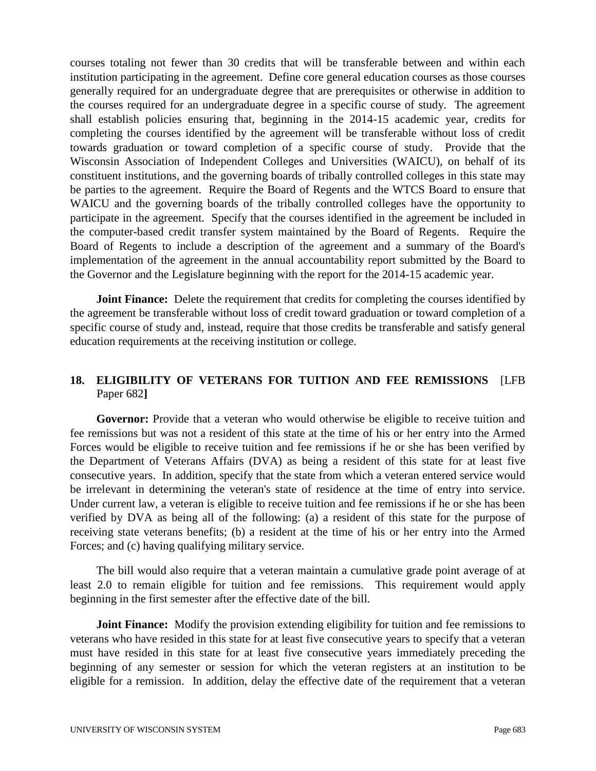courses totaling not fewer than 30 credits that will be transferable between and within each institution participating in the agreement. Define core general education courses as those courses generally required for an undergraduate degree that are prerequisites or otherwise in addition to the courses required for an undergraduate degree in a specific course of study. The agreement shall establish policies ensuring that, beginning in the 2014-15 academic year, credits for completing the courses identified by the agreement will be transferable without loss of credit towards graduation or toward completion of a specific course of study. Provide that the Wisconsin Association of Independent Colleges and Universities (WAICU), on behalf of its constituent institutions, and the governing boards of tribally controlled colleges in this state may be parties to the agreement. Require the Board of Regents and the WTCS Board to ensure that WAICU and the governing boards of the tribally controlled colleges have the opportunity to participate in the agreement. Specify that the courses identified in the agreement be included in the computer-based credit transfer system maintained by the Board of Regents. Require the Board of Regents to include a description of the agreement and a summary of the Board's implementation of the agreement in the annual accountability report submitted by the Board to the Governor and the Legislature beginning with the report for the 2014-15 academic year.

**Joint Finance:** Delete the requirement that credits for completing the courses identified by the agreement be transferable without loss of credit toward graduation or toward completion of a specific course of study and, instead, require that those credits be transferable and satisfy general education requirements at the receiving institution or college.

## **18. ELIGIBILITY OF VETERANS FOR TUITION AND FEE REMISSIONS** [LFB Paper 682**]**

**Governor:** Provide that a veteran who would otherwise be eligible to receive tuition and fee remissions but was not a resident of this state at the time of his or her entry into the Armed Forces would be eligible to receive tuition and fee remissions if he or she has been verified by the Department of Veterans Affairs (DVA) as being a resident of this state for at least five consecutive years. In addition, specify that the state from which a veteran entered service would be irrelevant in determining the veteran's state of residence at the time of entry into service. Under current law, a veteran is eligible to receive tuition and fee remissions if he or she has been verified by DVA as being all of the following: (a) a resident of this state for the purpose of receiving state veterans benefits; (b) a resident at the time of his or her entry into the Armed Forces; and (c) having qualifying military service.

 The bill would also require that a veteran maintain a cumulative grade point average of at least 2.0 to remain eligible for tuition and fee remissions. This requirement would apply beginning in the first semester after the effective date of the bill.

**Joint Finance:** Modify the provision extending eligibility for tuition and fee remissions to veterans who have resided in this state for at least five consecutive years to specify that a veteran must have resided in this state for at least five consecutive years immediately preceding the beginning of any semester or session for which the veteran registers at an institution to be eligible for a remission. In addition, delay the effective date of the requirement that a veteran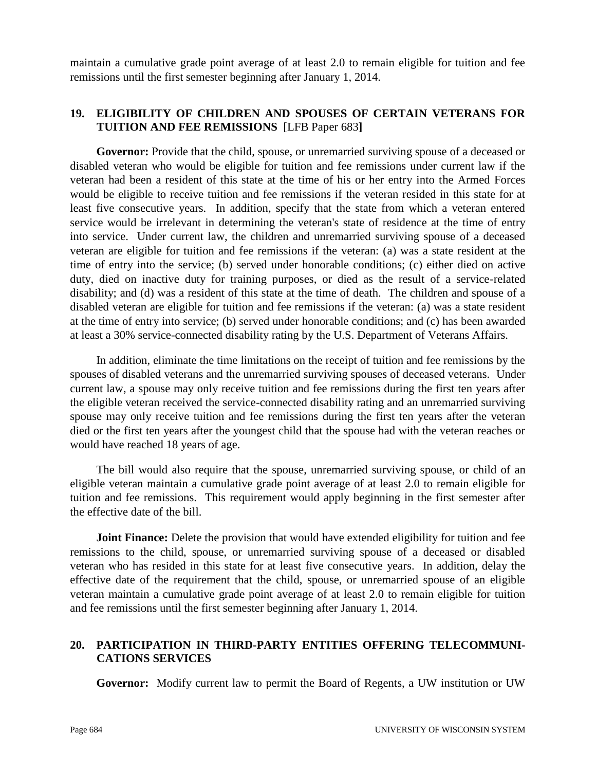maintain a cumulative grade point average of at least 2.0 to remain eligible for tuition and fee remissions until the first semester beginning after January 1, 2014.

## **19. ELIGIBILITY OF CHILDREN AND SPOUSES OF CERTAIN VETERANS FOR TUITION AND FEE REMISSIONS** [LFB Paper 683**]**

Governor: Provide that the child, spouse, or unremarried surviving spouse of a deceased or disabled veteran who would be eligible for tuition and fee remissions under current law if the veteran had been a resident of this state at the time of his or her entry into the Armed Forces would be eligible to receive tuition and fee remissions if the veteran resided in this state for at least five consecutive years. In addition, specify that the state from which a veteran entered service would be irrelevant in determining the veteran's state of residence at the time of entry into service. Under current law, the children and unremarried surviving spouse of a deceased veteran are eligible for tuition and fee remissions if the veteran: (a) was a state resident at the time of entry into the service; (b) served under honorable conditions; (c) either died on active duty, died on inactive duty for training purposes, or died as the result of a service-related disability; and (d) was a resident of this state at the time of death. The children and spouse of a disabled veteran are eligible for tuition and fee remissions if the veteran: (a) was a state resident at the time of entry into service; (b) served under honorable conditions; and (c) has been awarded at least a 30% service-connected disability rating by the U.S. Department of Veterans Affairs.

 In addition, eliminate the time limitations on the receipt of tuition and fee remissions by the spouses of disabled veterans and the unremarried surviving spouses of deceased veterans. Under current law, a spouse may only receive tuition and fee remissions during the first ten years after the eligible veteran received the service-connected disability rating and an unremarried surviving spouse may only receive tuition and fee remissions during the first ten years after the veteran died or the first ten years after the youngest child that the spouse had with the veteran reaches or would have reached 18 years of age.

 The bill would also require that the spouse, unremarried surviving spouse, or child of an eligible veteran maintain a cumulative grade point average of at least 2.0 to remain eligible for tuition and fee remissions. This requirement would apply beginning in the first semester after the effective date of the bill.

 **Joint Finance:** Delete the provision that would have extended eligibility for tuition and fee remissions to the child, spouse, or unremarried surviving spouse of a deceased or disabled veteran who has resided in this state for at least five consecutive years. In addition, delay the effective date of the requirement that the child, spouse, or unremarried spouse of an eligible veteran maintain a cumulative grade point average of at least 2.0 to remain eligible for tuition and fee remissions until the first semester beginning after January 1, 2014.

## **20. PARTICIPATION IN THIRD-PARTY ENTITIES OFFERING TELECOMMUNI-CATIONS SERVICES**

**Governor:** Modify current law to permit the Board of Regents, a UW institution or UW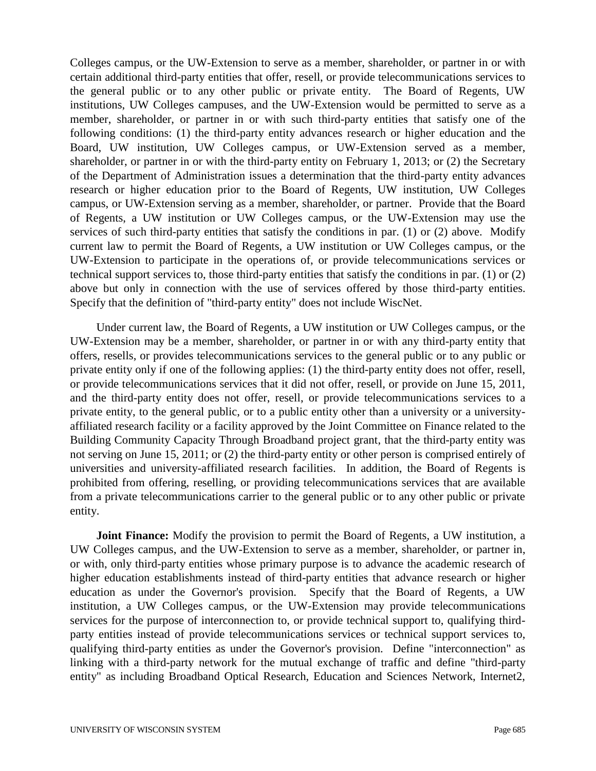Colleges campus, or the UW-Extension to serve as a member, shareholder, or partner in or with certain additional third-party entities that offer, resell, or provide telecommunications services to the general public or to any other public or private entity. The Board of Regents, UW institutions, UW Colleges campuses, and the UW-Extension would be permitted to serve as a member, shareholder, or partner in or with such third-party entities that satisfy one of the following conditions: (1) the third-party entity advances research or higher education and the Board, UW institution, UW Colleges campus, or UW-Extension served as a member, shareholder, or partner in or with the third-party entity on February 1, 2013; or (2) the Secretary of the Department of Administration issues a determination that the third-party entity advances research or higher education prior to the Board of Regents, UW institution, UW Colleges campus, or UW-Extension serving as a member, shareholder, or partner. Provide that the Board of Regents, a UW institution or UW Colleges campus, or the UW-Extension may use the services of such third-party entities that satisfy the conditions in par. (1) or (2) above. Modify current law to permit the Board of Regents, a UW institution or UW Colleges campus, or the UW-Extension to participate in the operations of, or provide telecommunications services or technical support services to, those third-party entities that satisfy the conditions in par. (1) or (2) above but only in connection with the use of services offered by those third-party entities. Specify that the definition of "third-party entity" does not include WiscNet.

 Under current law, the Board of Regents, a UW institution or UW Colleges campus, or the UW-Extension may be a member, shareholder, or partner in or with any third-party entity that offers, resells, or provides telecommunications services to the general public or to any public or private entity only if one of the following applies: (1) the third-party entity does not offer, resell, or provide telecommunications services that it did not offer, resell, or provide on June 15, 2011, and the third-party entity does not offer, resell, or provide telecommunications services to a private entity, to the general public, or to a public entity other than a university or a universityaffiliated research facility or a facility approved by the Joint Committee on Finance related to the Building Community Capacity Through Broadband project grant, that the third-party entity was not serving on June 15, 2011; or (2) the third-party entity or other person is comprised entirely of universities and university-affiliated research facilities. In addition, the Board of Regents is prohibited from offering, reselling, or providing telecommunications services that are available from a private telecommunications carrier to the general public or to any other public or private entity.

**Joint Finance:** Modify the provision to permit the Board of Regents, a UW institution, a UW Colleges campus, and the UW-Extension to serve as a member, shareholder, or partner in, or with, only third-party entities whose primary purpose is to advance the academic research of higher education establishments instead of third-party entities that advance research or higher education as under the Governor's provision. Specify that the Board of Regents, a UW institution, a UW Colleges campus, or the UW-Extension may provide telecommunications services for the purpose of interconnection to, or provide technical support to, qualifying thirdparty entities instead of provide telecommunications services or technical support services to, qualifying third-party entities as under the Governor's provision. Define "interconnection" as linking with a third-party network for the mutual exchange of traffic and define "third-party entity" as including Broadband Optical Research, Education and Sciences Network, Internet2,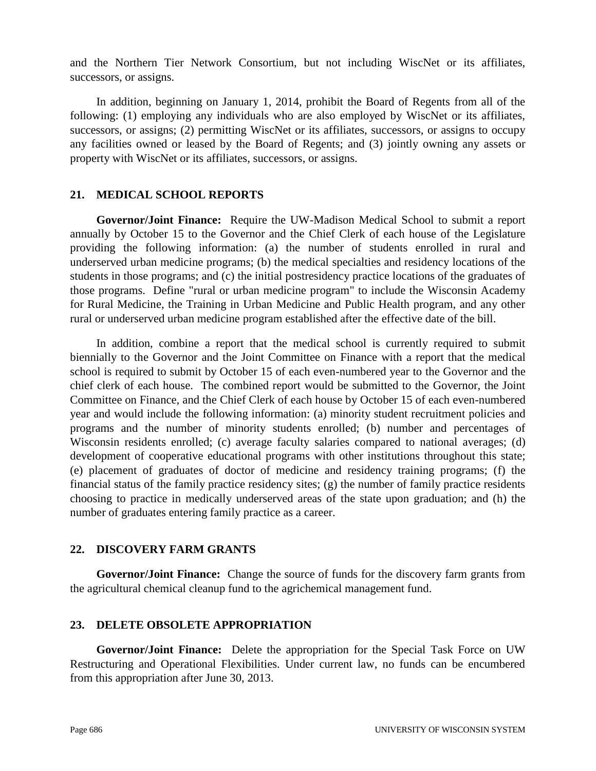and the Northern Tier Network Consortium, but not including WiscNet or its affiliates, successors, or assigns.

 In addition, beginning on January 1, 2014, prohibit the Board of Regents from all of the following: (1) employing any individuals who are also employed by WiscNet or its affiliates, successors, or assigns; (2) permitting WiscNet or its affiliates, successors, or assigns to occupy any facilities owned or leased by the Board of Regents; and (3) jointly owning any assets or property with WiscNet or its affiliates, successors, or assigns.

#### **21. MEDICAL SCHOOL REPORTS**

**Governor/Joint Finance:** Require the UW-Madison Medical School to submit a report annually by October 15 to the Governor and the Chief Clerk of each house of the Legislature providing the following information: (a) the number of students enrolled in rural and underserved urban medicine programs; (b) the medical specialties and residency locations of the students in those programs; and (c) the initial postresidency practice locations of the graduates of those programs. Define "rural or urban medicine program" to include the Wisconsin Academy for Rural Medicine, the Training in Urban Medicine and Public Health program, and any other rural or underserved urban medicine program established after the effective date of the bill.

 In addition, combine a report that the medical school is currently required to submit biennially to the Governor and the Joint Committee on Finance with a report that the medical school is required to submit by October 15 of each even-numbered year to the Governor and the chief clerk of each house. The combined report would be submitted to the Governor, the Joint Committee on Finance, and the Chief Clerk of each house by October 15 of each even-numbered year and would include the following information: (a) minority student recruitment policies and programs and the number of minority students enrolled; (b) number and percentages of Wisconsin residents enrolled; (c) average faculty salaries compared to national averages; (d) development of cooperative educational programs with other institutions throughout this state; (e) placement of graduates of doctor of medicine and residency training programs; (f) the financial status of the family practice residency sites; (g) the number of family practice residents choosing to practice in medically underserved areas of the state upon graduation; and (h) the number of graduates entering family practice as a career.

#### **22. DISCOVERY FARM GRANTS**

**Governor/Joint Finance:** Change the source of funds for the discovery farm grants from the agricultural chemical cleanup fund to the agrichemical management fund.

#### **23. DELETE OBSOLETE APPROPRIATION**

**Governor/Joint Finance:** Delete the appropriation for the Special Task Force on UW Restructuring and Operational Flexibilities. Under current law, no funds can be encumbered from this appropriation after June 30, 2013.